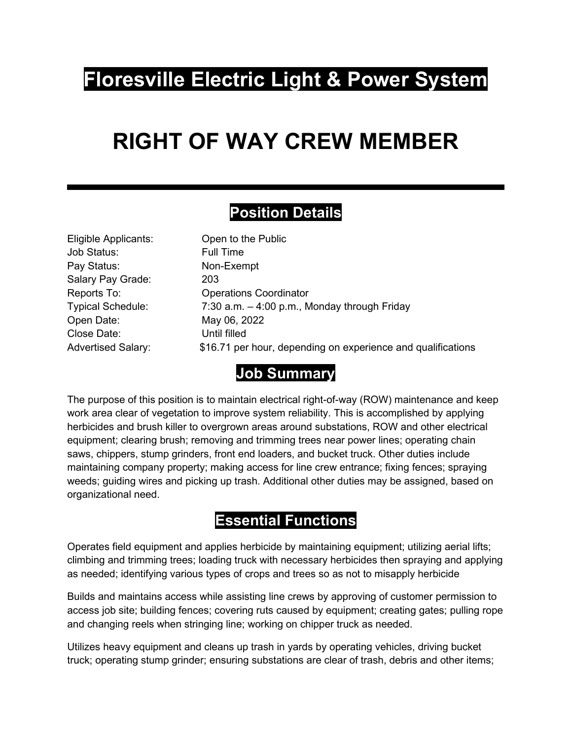## **Floresville Electric Light & Power System**

# **RIGHT OF WAY CREW MEMBER**

#### **Position Details**

| Eligible Applicants:      | Open to the Public                                           |
|---------------------------|--------------------------------------------------------------|
| Job Status:               | <b>Full Time</b>                                             |
| Pay Status:               | Non-Exempt                                                   |
| Salary Pay Grade:         | 203                                                          |
| Reports To:               | <b>Operations Coordinator</b>                                |
| <b>Typical Schedule:</b>  | 7:30 a.m. $-4:00$ p.m., Monday through Friday                |
| Open Date:                | May 06, 2022                                                 |
| Close Date:               | Until filled                                                 |
| <b>Advertised Salary:</b> | \$16.71 per hour, depending on experience and qualifications |
|                           |                                                              |

#### **Job Summary**

The purpose of this position is to maintain electrical right-of-way (ROW) maintenance and keep work area clear of vegetation to improve system reliability. This is accomplished by applying herbicides and brush killer to overgrown areas around substations, ROW and other electrical equipment; clearing brush; removing and trimming trees near power lines; operating chain saws, chippers, stump grinders, front end loaders, and bucket truck. Other duties include maintaining company property; making access for line crew entrance; fixing fences; spraying weeds; guiding wires and picking up trash. Additional other duties may be assigned, based on organizational need.

#### **Essential Functions**

Operates field equipment and applies herbicide by maintaining equipment; utilizing aerial lifts; climbing and trimming trees; loading truck with necessary herbicides then spraying and applying as needed; identifying various types of crops and trees so as not to misapply herbicide

Builds and maintains access while assisting line crews by approving of customer permission to access job site; building fences; covering ruts caused by equipment; creating gates; pulling rope and changing reels when stringing line; working on chipper truck as needed.

Utilizes heavy equipment and cleans up trash in yards by operating vehicles, driving bucket truck; operating stump grinder; ensuring substations are clear of trash, debris and other items;